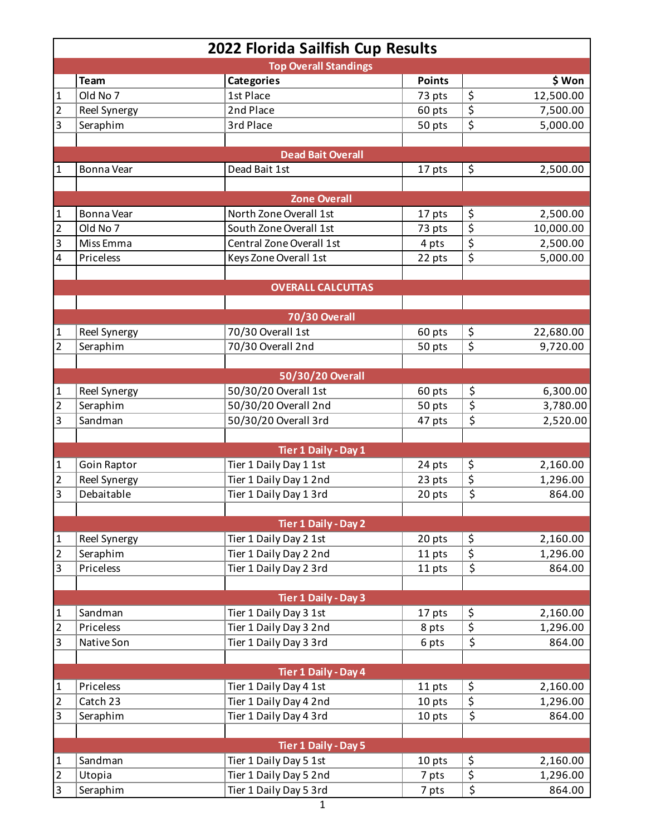| 2022 Florida Sailfish Cup Results |              |                             |               |                                     |           |  |  |  |
|-----------------------------------|--------------|-----------------------------|---------------|-------------------------------------|-----------|--|--|--|
| <b>Top Overall Standings</b>      |              |                             |               |                                     |           |  |  |  |
|                                   | <b>Team</b>  | <b>Categories</b>           | <b>Points</b> |                                     | \$ Won    |  |  |  |
| $\mathbf{1}$                      | Old No 7     | 1st Place                   | 73 pts        | \$                                  | 12,500.00 |  |  |  |
| $\overline{2}$                    | Reel Synergy | 2nd Place                   | 60 pts        | \$                                  | 7,500.00  |  |  |  |
| 3                                 | Seraphim     | 3rd Place                   | 50 pts        | \$                                  | 5,000.00  |  |  |  |
|                                   |              |                             |               |                                     |           |  |  |  |
|                                   |              | <b>Dead Bait Overall</b>    |               |                                     |           |  |  |  |
| 1                                 | Bonna Vear   | Dead Bait 1st               | 17 pts        | \$                                  | 2,500.00  |  |  |  |
|                                   |              |                             |               |                                     |           |  |  |  |
|                                   |              | <b>Zone Overall</b>         |               |                                     |           |  |  |  |
| 1                                 | Bonna Vear   | North Zone Overall 1st      | 17 pts        | \$                                  | 2,500.00  |  |  |  |
| $\overline{2}$                    | Old No 7     | South Zone Overall 1st      | 73 pts        | \$                                  | 10,000.00 |  |  |  |
| 3                                 | Miss Emma    | Central Zone Overall 1st    | 4 pts         | \$                                  | 2,500.00  |  |  |  |
| $\overline{\mathbf{4}}$           | Priceless    | Keys Zone Overall 1st       | 22 pts        | \$                                  | 5,000.00  |  |  |  |
|                                   |              |                             |               |                                     |           |  |  |  |
|                                   |              | <b>OVERALL CALCUTTAS</b>    |               |                                     |           |  |  |  |
|                                   |              |                             |               |                                     |           |  |  |  |
|                                   |              | 70/30 Overall               |               |                                     |           |  |  |  |
| 1                                 | Reel Synergy | 70/30 Overall 1st           | 60 pts        | \$                                  | 22,680.00 |  |  |  |
| $\overline{2}$                    | Seraphim     | 70/30 Overall 2nd           | 50 pts        | $\overline{\boldsymbol{\varsigma}}$ | 9,720.00  |  |  |  |
|                                   |              |                             |               |                                     |           |  |  |  |
|                                   |              | 50/30/20 Overall            |               |                                     |           |  |  |  |
| 1                                 | Reel Synergy | 50/30/20 Overall 1st        | 60 pts        | \$                                  | 6,300.00  |  |  |  |
| 2                                 | Seraphim     | 50/30/20 Overall 2nd        | 50 pts        | $\overline{\boldsymbol{\zeta}}$     | 3,780.00  |  |  |  |
| 3                                 | Sandman      | 50/30/20 Overall 3rd        | 47 pts        | \$                                  | 2,520.00  |  |  |  |
|                                   |              |                             |               |                                     |           |  |  |  |
|                                   |              | Tier 1 Daily - Day 1        |               |                                     |           |  |  |  |
| 1                                 | Goin Raptor  | Tier 1 Daily Day 1 1st      | 24 pts        | \$                                  | 2,160.00  |  |  |  |
| $\overline{c}$                    | Reel Synergy | Tier 1 Daily Day 1 2nd      | 23 pts        | $\overline{\xi}$                    | 1,296.00  |  |  |  |
| 3                                 | Debaitable   | Tier 1 Daily Day 1 3rd      | 20 pts        | \$                                  | 864.00    |  |  |  |
|                                   |              |                             |               |                                     |           |  |  |  |
|                                   |              | <b>Tier 1 Daily - Day 2</b> |               |                                     |           |  |  |  |
| $\mathbf 1$                       | Reel Synergy | Tier 1 Daily Day 2 1st      | 20 pts        | \$                                  | 2,160.00  |  |  |  |
| $\overline{c}$                    | Seraphim     | Tier 1 Daily Day 2 2nd      | 11 pts        | $\overline{\xi}$                    | 1,296.00  |  |  |  |
| 3                                 | Priceless    | Tier 1 Daily Day 2 3rd      | 11 pts        | $\overline{\boldsymbol{\varsigma}}$ | 864.00    |  |  |  |
|                                   |              |                             |               |                                     |           |  |  |  |
|                                   |              | Tier 1 Daily - Day 3        |               |                                     |           |  |  |  |
| $\mathbf{1}$                      | Sandman      | Tier 1 Daily Day 3 1st      | 17 pts        | \$                                  | 2,160.00  |  |  |  |
| $\overline{2}$                    | Priceless    | Tier 1 Daily Day 3 2nd      | 8 pts         | \$                                  | 1,296.00  |  |  |  |
| 3                                 | Native Son   | Tier 1 Daily Day 3 3rd      |               | \$                                  | 864.00    |  |  |  |
|                                   |              |                             | 6 pts         |                                     |           |  |  |  |
|                                   |              |                             |               |                                     |           |  |  |  |
|                                   |              | Tier 1 Daily - Day 4        |               |                                     |           |  |  |  |
| 1                                 | Priceless    | Tier 1 Daily Day 4 1st      | 11 pts        | \$<br>$\overline{\xi}$              | 2,160.00  |  |  |  |
| $\overline{\mathbf{c}}$           | Catch 23     | Tier 1 Daily Day 4 2nd      | 10 pts        |                                     | 1,296.00  |  |  |  |
| 3                                 | Seraphim     | Tier 1 Daily Day 4 3rd      | 10 pts        | $\overline{\boldsymbol{\zeta}}$     | 864.00    |  |  |  |
|                                   |              |                             |               |                                     |           |  |  |  |
|                                   |              | <b>Tier 1 Daily - Day 5</b> |               |                                     |           |  |  |  |
| $\mathbf{1}$                      | Sandman      | Tier 1 Daily Day 5 1st      | 10 pts        | \$                                  | 2,160.00  |  |  |  |
| $\overline{2}$                    | Utopia       | Tier 1 Daily Day 5 2nd      | 7 pts         | $\overline{\xi}$                    | 1,296.00  |  |  |  |
| 3                                 | Seraphim     | Tier 1 Daily Day 5 3rd      | 7 pts         | \$                                  | 864.00    |  |  |  |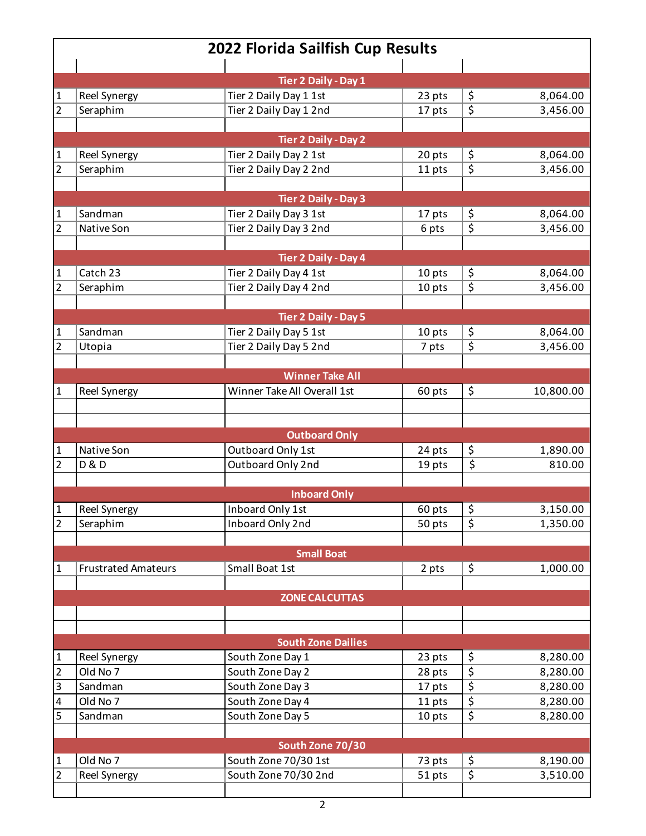| 2022 Florida Sailfish Cup Results |                            |                                                  |                  |                                     |                      |  |
|-----------------------------------|----------------------------|--------------------------------------------------|------------------|-------------------------------------|----------------------|--|
|                                   |                            |                                                  |                  |                                     |                      |  |
|                                   |                            | Tier 2 Daily - Day 1                             |                  |                                     |                      |  |
| 1<br>$\overline{2}$               | Reel Synergy               | Tier 2 Daily Day 1 1st<br>Tier 2 Daily Day 1 2nd | 23 pts<br>17 pts | \$<br>\$                            | 8,064.00<br>3,456.00 |  |
|                                   | Seraphim                   |                                                  |                  |                                     |                      |  |
|                                   |                            | <b>Tier 2 Daily - Day 2</b>                      |                  |                                     |                      |  |
| $\mathbf{1}$                      | Reel Synergy               | Tier 2 Daily Day 2 1st                           | 20 pts           | \$                                  | 8,064.00             |  |
| $\overline{2}$                    | Seraphim                   | Tier 2 Daily Day 2 2nd                           | 11 pts           | $\overline{\boldsymbol{\varsigma}}$ | 3,456.00             |  |
|                                   |                            |                                                  |                  |                                     |                      |  |
|                                   |                            | Tier 2 Daily - Day 3                             |                  |                                     |                      |  |
| 1                                 | Sandman                    | Tier 2 Daily Day 3 1st                           | 17 pts           | \$                                  | 8,064.00             |  |
| $\overline{2}$                    | Native Son                 | Tier 2 Daily Day 3 2nd                           | 6 pts            | $\overline{\boldsymbol{\zeta}}$     | 3,456.00             |  |
|                                   |                            |                                                  |                  |                                     |                      |  |
|                                   |                            | Tier 2 Daily - Day 4                             |                  |                                     |                      |  |
| 1                                 | Catch 23                   | Tier 2 Daily Day 4 1st                           | 10 pts           | \$                                  | 8,064.00             |  |
| $\overline{c}$                    | Seraphim                   | Tier 2 Daily Day 4 2nd                           | 10 pts           | \$                                  | 3,456.00             |  |
|                                   |                            |                                                  |                  |                                     |                      |  |
|                                   |                            | <b>Tier 2 Daily - Day 5</b>                      |                  |                                     |                      |  |
| $\mathbf{1}$                      | Sandman                    | Tier 2 Daily Day 5 1st                           | 10 pts           | \$                                  | 8,064.00             |  |
| $\overline{2}$                    | Utopia                     | Tier 2 Daily Day 5 2nd                           | 7 pts            | \$                                  | 3,456.00             |  |
|                                   |                            |                                                  |                  |                                     |                      |  |
|                                   |                            | <b>Winner Take All</b>                           |                  |                                     |                      |  |
| 1                                 | Reel Synergy               | Winner Take All Overall 1st                      | 60 pts           | \$                                  | 10,800.00            |  |
|                                   |                            |                                                  |                  |                                     |                      |  |
|                                   |                            |                                                  |                  |                                     |                      |  |
|                                   |                            | <b>Outboard Only</b>                             |                  |                                     |                      |  |
| 1                                 | Native Son                 | Outboard Only 1st                                | 24 pts           | \$                                  | 1,890.00             |  |
| 2                                 | <b>D&amp;D</b>             | Outboard Only 2nd                                | 19 pts           | \$                                  | 810.00               |  |
|                                   |                            |                                                  |                  |                                     |                      |  |
|                                   |                            | <b>Inboard Only</b>                              |                  |                                     |                      |  |
| $\mathbf 1$                       | <b>Reel Synergy</b>        | Inboard Only 1st                                 | 60 pts           | \$                                  | 3,150.00             |  |
| $\overline{2}$                    | Seraphim                   | Inboard Only 2nd                                 | 50 pts           | $\overline{\xi}$                    | 1,350.00             |  |
|                                   |                            |                                                  |                  |                                     |                      |  |
|                                   |                            | <b>Small Boat</b>                                |                  |                                     |                      |  |
| 1                                 | <b>Frustrated Amateurs</b> | Small Boat 1st                                   | 2 pts            | \$                                  | 1,000.00             |  |
|                                   |                            |                                                  |                  |                                     |                      |  |
|                                   |                            | <b>ZONE CALCUTTAS</b>                            |                  |                                     |                      |  |
|                                   |                            |                                                  |                  |                                     |                      |  |
|                                   |                            |                                                  |                  |                                     |                      |  |
|                                   |                            | <b>South Zone Dailies</b>                        |                  |                                     |                      |  |
| $\mathbf{1}$                      | <b>Reel Synergy</b>        | South Zone Day 1                                 | 23 pts           | \$                                  | 8,280.00             |  |
| $\overline{2}$                    | Old No 7                   | South Zone Day 2                                 | 28 pts           | $\overline{\boldsymbol{\zeta}}$     | 8,280.00             |  |
| $\overline{3}$                    | Sandman                    | South Zone Day 3                                 | 17 pts           | \$                                  | 8,280.00             |  |
| $\pmb{4}$                         | Old No 7                   | South Zone Day 4                                 | 11 pts           | \$                                  | 8,280.00             |  |
| 5                                 | Sandman                    | South Zone Day 5                                 | 10 pts           | $\overline{\boldsymbol{\zeta}}$     | 8,280.00             |  |
|                                   |                            |                                                  |                  |                                     |                      |  |
|                                   |                            | South Zone 70/30                                 |                  |                                     |                      |  |
| $\mathbf{1}$                      | Old No 7                   | South Zone 70/30 1st                             | 73 pts           | \$                                  | 8,190.00             |  |
| $\overline{2}$                    | Reel Synergy               | South Zone 70/30 2nd                             | 51 pts           | \$                                  | 3,510.00             |  |
|                                   |                            |                                                  |                  |                                     |                      |  |